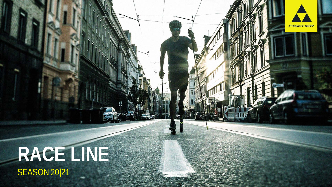# **RACE LINE** SEASON 20|21

FISCHER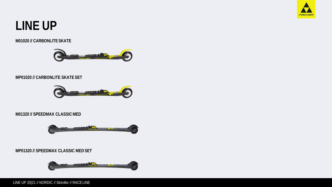

# **LINE UP**

#### **M01020 // CARBONLITESKATE**



# **MP01020 // CARBONLITE SKATE SET**



# **M01320 // SPEEDMAX CLASSICMED**



# **MP01320 // SPEEDMAX CLASSIC MEDSET**



LINE UP 20|21 // NORDIC // Skiroller // RACE LINE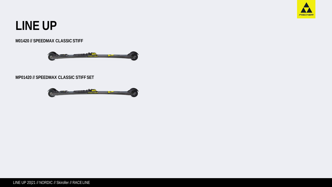

# **LINE UP**

### **M01420 // SPEEDMAX CLASSICSTIFF**



### **MP01420 // SPEEDMAX CLASSIC STIFF SET**

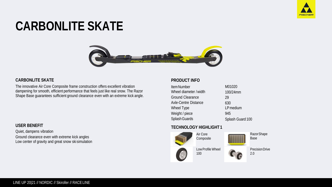

# **CARBONLITE SKATE**



#### **CARBONLITE SKATE**

The innovative Air Core Composite frame construction offers excellent vibration dampening for smooth, efficient performance that feels just like real snow. The Razor Shape Base guarantees sufficient ground clearance even with an extreme kick angle.

### **USER BENEFIT**

Quiet, dampens vibration Ground clearance even with extreme kick angles Low center of gravity and great snow ski simulation

### **PRODUCT INFO**

| Item Number            | M01020           |
|------------------------|------------------|
| Wheel diameter / width | 100/24mm         |
| Ground Clearance       | 29               |
| Axle-Centre Distance   | 630              |
| Wheel Type             | LP medium        |
| Weight / piece         | 945              |
| Splash Guards          | Splash Guard 100 |
|                        |                  |

# **TECHNOLOGY HIGHLIGHT 1**





**PrecisionDrive**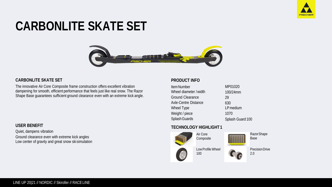

# **CARBONLITE SKATE SET**



#### **CARBONLITE SKATE SET**

The innovative Air Core Composite frame construction offers excellent vibration dampening for smooth, efficient performance that feels just like real snow. The Razor Shape Base guarantees sufficient ground clearance even with an extreme kick angle.

### **USER BENEFIT**

Quiet, dampens vibration Ground clearance even with extreme kick angles Low center of gravity and great snow ski simulation

### **PRODUCT INFO**

| MP01020          |
|------------------|
| 100/24mm         |
| 29               |
| 630              |
| LP medium        |
| 1070             |
| Splash Guard 100 |
|                  |

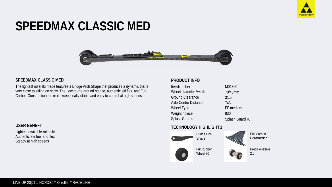

# **SPEEDMAX CLASSIC MED**



#### **SPEEDMAX CLASSIC MED**

The lightest rollerski made features a Bridge Arch Shape that produces a dynamic thatis very close to skiing on snow. The Low-to-the ground stance, authentic ski flex, and Full Carbon Construction make it exceptionally stable and easy to control at high speeds.

### **USER BENEFIT**

Lightest available rollerski Authentic ski feel and flex Steady at high speeds

### **PRODUCT INFO**

| <b>Item Number</b>      | M01320           |
|-------------------------|------------------|
| Wheel diameter / width  | 70/45mm          |
| <b>Ground Clearance</b> | 31,5             |
| Axle-Centre Distance    | 745              |
| Wheel Type              | <b>FR</b> medium |
| Weight / piece          | 830              |
| Splash Guards           | Splash Guard 70  |

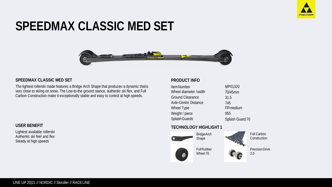

# **SPEEDMAX CLASSIC MED SET**



#### **SPEEDMAX CLASSIC MED SET**

The lightest rollerski made features a Bridge Arch Shape that produces a dynamic thatis very close to skiing on snow. The Low-to-the ground stance, authentic ski flex, and Full Carbon Construction make it exceptionally stable and easy to control at high speeds.

### **USER BENEFIT**

Lightest available rollerski Authentic ski feel and flex Steady at high speeds

### **PRODUCT INFO**

| <b>Item Number</b>      | MP01320         |
|-------------------------|-----------------|
| Wheel diameter / width  | 70/45mm         |
| <b>Ground Clearance</b> | 31,5            |
| Axle-Centre Distance    | 745             |
| Wheel Type              | FR medium       |
| Weight / piece          | 955             |
| Splash Guards           | Splash Guard 70 |

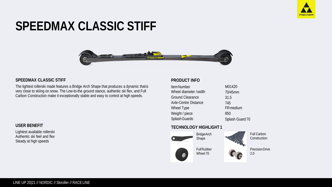

# **SPEEDMAX CLASSIC STIFF**



#### **SPEEDMAX CLASSIC STIFF**

The lightest rollerski made features a Bridge Arch Shape that produces a dynamic thatis very close to skiing on snow. The Low-to-the ground stance, authentic ski flex, and Full Carbon Construction make it exceptionally stable and easy to control at high speeds.

### **USER BENEFIT**

Lightest available rollerski Authentic ski feel and flex Steady at high speeds

### **PRODUCT INFO**

| <b>Item Number</b>      | M01420          |
|-------------------------|-----------------|
| Wheel diameter / width  | 70/45mm         |
| <b>Ground Clearance</b> | 31,5            |
| Axle-Centre Distance    | 745             |
| Wheel Type              | FR medium       |
| Weight / piece          | 850             |
| Splash Guards           | Splash Guard 70 |

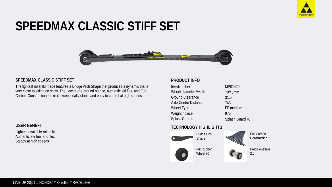

# **SPEEDMAX CLASSIC STIFF SET**



#### **SPEEDMAX CLASSIC STIFF SET**

The lightest rollerski made features a Bridge Arch Shape that produces a dynamic thatis very close to skiing on snow. The Low-to-the ground stance, authentic ski flex, and Full Carbon Construction make it exceptionally stable and easy to control at high speeds.

### **USER BENEFIT**

Lightest available rollerski Authentic ski feel and flex Steady at high speeds

### **PRODUCT INFO**

| <b>Item Number</b>      | MP01420         |
|-------------------------|-----------------|
| Wheel diameter / width  | 70/45mm         |
| <b>Ground Clearance</b> | 31,5            |
| Axle-Centre Distance    | 745             |
| Wheel Type              | FR medium       |
| Weight / piece          | 975             |
| Splash Guards           | Splash Guard 70 |

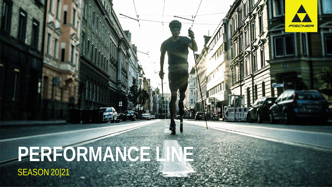

# **PERFORMANCE LINE SEASON 20|21**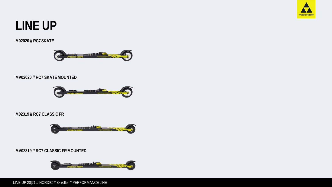

# **LINE UP**

# **M02020 // RC7SKATE**



# **MV02020 // RC7 SKATEMOUNTED**



# **M02319 // RC7 CLASSICFR**



# **MV02319 // RC7 CLASSIC FRMOUNTED**

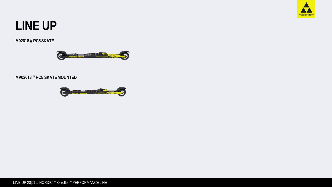

# **LINE UP**

# **M02618 // RC5SKATE**



# **MV02618 // RC5 SKATEMOUNTED**

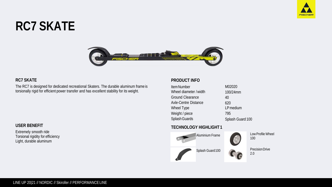

# **RC7 SKATE**



#### **RC7 SKATE**

The RC7 is designed for dedicated recreational Skaters. The durable aluminum frame is torsionally rigid for efficient power transfer and has excellent stability for its weight.

# **USER BENEFIT**

Extremely smooth ride Torsional rigidity for efficiency Light, durable aluminum

#### **PRODUCT INFO**

| <b>Item Number</b>      | M02020           |
|-------------------------|------------------|
| Wheel diameter / width  | 100/24mm         |
| <b>Ground Clearance</b> | 40               |
| Axle-Centre Distance    | 620              |
| Wheel Type              | LP medium        |
| Weight / piece          | 795              |
| Splash Guards           | Splash Guard 100 |

# **TECHNOLOGY HIGHLIGHT 1**



Low Profile Wheel 100

2.0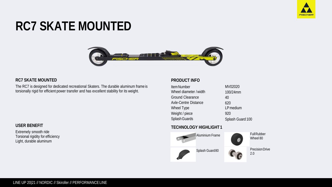

# **RC7 SKATE MOUNTED**



#### **RC7 SKATE MOUNTED**

The RC7 is designed for dedicated recreational Skaters. The durable aluminum frame is torsionally rigid for efficient power transfer and has excellent stability for its weight.

#### **USER BENEFIT**

Extremely smooth ride Torsional rigidity for efficiency Light, durable aluminum

#### **PRODUCT INFO**

| Item Number             | MV02020          |
|-------------------------|------------------|
| Wheel diameter / width  | 100/24mm         |
| <b>Ground Clearance</b> | 40               |
| Axle-Centre Distance    | 620              |
| Wheel Type              | LP medium        |
| Weight / piece          | 920              |
| Splash Guards           | Splash Guard 100 |

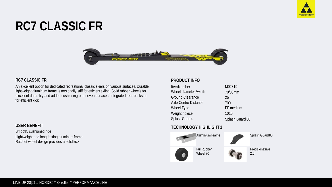

# **RC7 CLASSIC FR**



#### **RC7 CLASSIC FR**

An excellent option for dedicated recreational classic skiers on various surfaces. Durable, lightweight aluminum frame is torsionally stiff for efficient skiing. Solid rubber wheels for excellent durability and added cushioning on uneven surfaces. Integrated rear backstop for efficient kick.

#### **USER BENEFIT**

Smooth, cushioned ride Lightweight and long-lasting aluminumframe Ratchet wheel design provides a solid kick

### **PRODUCT INFO**

| <b>Item Number</b>      | M02319          |
|-------------------------|-----------------|
| Wheel diameter / width  | 70/38mm         |
| <b>Ground Clearance</b> | 25              |
| Axle-Centre Distance    | 700             |
| Wheel Type              | FR medium       |
| Weight / piece          | 1010            |
| Splash Guards           | Splash Guard 80 |

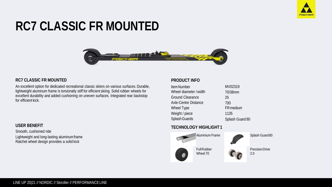

# **RC7 CLASSIC FR MOUNTED**



#### **RC7 CLASSIC FR MOUNTED**

An excellent option for dedicated recreational classic skiers on various surfaces. Durable, lightweight aluminum frame is torsionally stiff for efficient skiing. Solid rubber wheels for excellent durability and added cushioning on uneven surfaces. Integrated rear backstop for efficient kick.

#### **USER BENEFIT**

Smooth, cushioned ride Lightweight and long-lasting aluminumframe Ratchet wheel design provides a solid kick

### **PRODUCT INFO**

| <b>Item Number</b>      | MV02319         |
|-------------------------|-----------------|
| Wheel diameter / width  | 70/38mm         |
| <b>Ground Clearance</b> | 25              |
| Axle-Centre Distance    | 700             |
| Wheel Type              | FR medium       |
| Weight / piece          | 1135            |
| Splash Guards           | Splash Guard 80 |

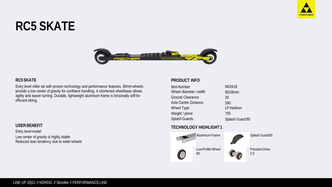

# **RC5 SKATE**



#### **RC5SKATE**

Entry level roller ski with proven technology and performance features. 80mmwheels provide a low center of gravity for confident handling. A shortened wheelbase allows agility and easier turning. Durable, lightweight aluminum frame is torsionally stiff for efficient skiing.

#### **USERBENEFIT**

Entry levelmodel Low center of gravity is highly stable Reduced lean tendency due to widerwheels

### **PRODUCT INFO**

| <b>Item Number</b>      | M02618          |
|-------------------------|-----------------|
| Wheel diameter / width  | 80/28mm         |
| <b>Ground Clearance</b> | 30              |
| Axle-Centre Distance    | 590             |
| Wheel Type              | LP medium       |
| Weight / piece          | 755             |
| Splash Guards           | Splash Guard 80 |

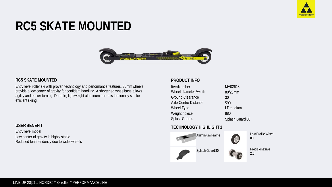

# **RC5 SKATE MOUNTED**



#### **RC5 SKATE MOUNTED**

Entry level roller ski with proven technology and performance features. 80mmwheels provide a low center of gravity for confident handling. A shortened wheelbase allows agility and easier turning. Durable, lightweight aluminum frame is torsionally stiff for efficient skiing.

#### **USERBENEFIT**

Entry levelmodel Low center of gravity is highly stable Reduced lean tendency due to widerwheels

### **PRODUCT INFO**

| <b>Item Number</b>      | MV02618         |
|-------------------------|-----------------|
| Wheel diameter / width  | 80/28mm         |
| <b>Ground Clearance</b> | 30              |
| Axle-Centre Distance    | 590             |
| Wheel Type              | LP medium       |
| Weight / piece          | 880             |
| Splash Guards           | Splash Guard 80 |

### **TECHNOLOGY HIGHLIGHT 1**



LowProfile Wheel 80

2.0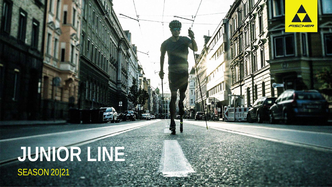# **JUNIOR LINE** SEASON 20|21

FISCHER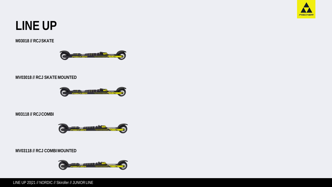

# **LINE UP**

# **M03018 // RCJSKATE**



# **MV03018 // RCJ SKATEMOUNTED**



# **M03118 // RCJCOMBI**



# **MV03118 // RCJ COMBIMOUNTED**

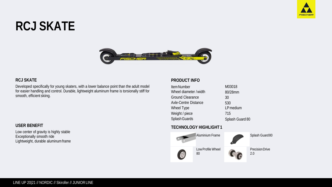

# **RCJ SKATE**



#### **RCJ SKATE**

Developed specifically for young skaters, with a lower balance point than the adult model for easier handling and control. Durable, lightweight aluminum frame is torsionally stiff for smooth, efficient skiing.

### **USER BENEFIT**

Low center of gravity is highly stable Exceptionally smooth ride Lightweight, durable aluminumframe

# **PRODUCT INFO**

| <b>Item Number</b>      | M03018          |
|-------------------------|-----------------|
| Wheel diameter / width  | 80/28mm         |
| <b>Ground Clearance</b> | 30              |
| Axle-Centre Distance    | 530             |
| Wheel Type              | LP medium       |
| Weight / piece          | 715             |
| Splash Guards           | Splash Guard 80 |

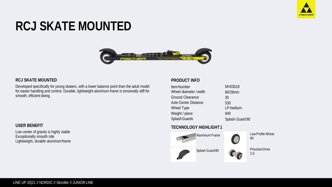

# **RCJ SKATE MOUNTED**



#### **RCJ SKATE MOUNTED**

Developed specifically for young skaters, with a lower balance point than the adult model for easier handling and control. Durable, lightweight aluminum frame is torsionally stiff for smooth, efficient skiing.

#### **USER BENEFIT**

Low center of gravity is highly stable Exceptionally smooth ride Lightweight, durable aluminumframe

### **PRODUCT INFO**

| <b>Item Number</b>      | MV03018         |
|-------------------------|-----------------|
| Wheel diameter / width  | 80/28mm         |
| <b>Ground Clearance</b> | 30              |
| Axle-Centre Distance    | 530             |
| Wheel Type              | LP medium       |
| Weight / piece          | 840             |
| Splash Guards           | Splash Guard 80 |

### **TECHNOLOGY HIGHLIGHT 1**



LowProfile Wheel 80

2.0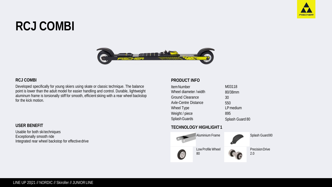

# **RCJ COMBI**



#### **RCJ COMBI**

Developed specifically for young skiers using skate or classic technique. The balance point is lower than the adult model for easier handling and control. Durable, lightweight aluminum frame is torsionally stiff for smooth, efficient skiing with a rear wheel backstop for the kick motion.

#### **USER BENEFIT**

Usable for both ski techniques Exceptionally smooth ride Integrated rear wheel backstop for effectivedrive

### **PRODUCT INFO**

| <b>Item Number</b>      | M03118          |
|-------------------------|-----------------|
| Wheel diameter / width  | 80/38mm         |
| <b>Ground Clearance</b> | 30              |
| Axle-Centre Distance    | 550             |
| Wheel Type              | LP medium       |
| Weight / piece          | 895             |
| Splash Guards           | Splash Guard 80 |

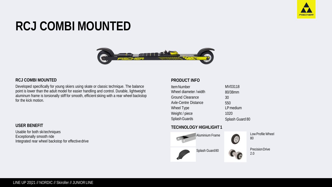

# **RCJ COMBI MOUNTED**



#### **RCJ COMBI MOUNTED**

Developed specifically for young skiers using skate or classic technique. The balance point is lower than the adult model for easier handling and control. Durable, lightweight aluminum frame is torsionally stiff for smooth, efficient skiing with a rear wheel backstop for the kick motion.

#### **USER BENEFIT**

Usable for both ski techniques Exceptionally smooth ride Integrated rear wheel backstop for effectivedrive

### **PRODUCT INFO**

| <b>Item Number</b>      | MV03118         |
|-------------------------|-----------------|
| Wheel diameter / width  | 80/38mm         |
| <b>Ground Clearance</b> | 30              |
| Axle-Centre Distance    | 550             |
| Wheel Type              | LP medium       |
| Weight / piece          | 1020            |
| Splash Guards           | Splash Guard 80 |

# **TECHNOLOGY HIGHLIGHT 1**



LowProfile Wheel 80

2.0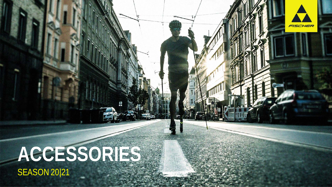# **ACCESSORIES** SEASON 20|21

FISCHER